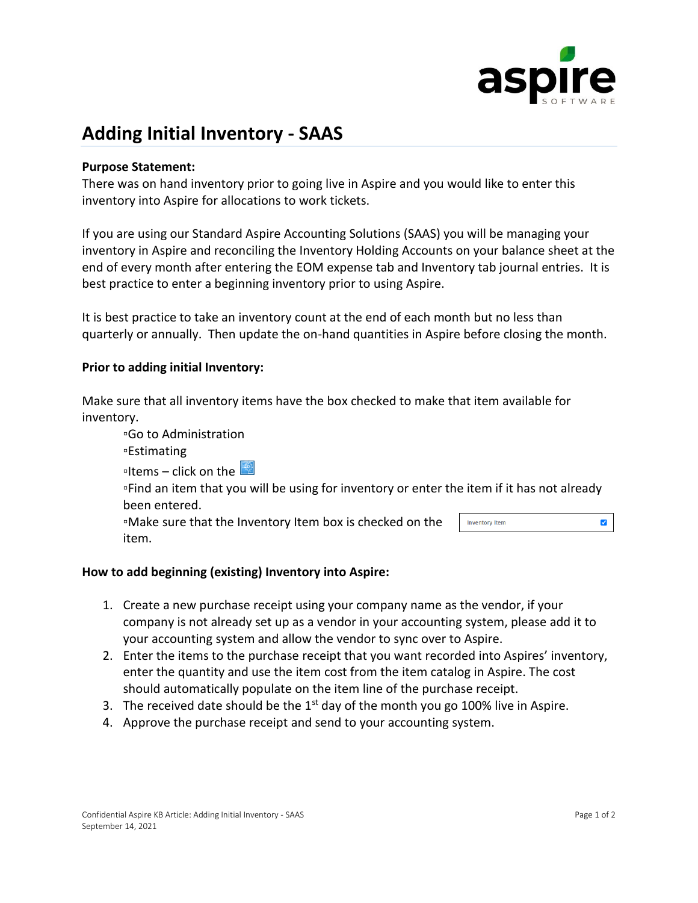

# **Adding Initial Inventory - SAAS**

#### **Purpose Statement:**

There was on hand inventory prior to going live in Aspire and you would like to enter this inventory into Aspire for allocations to work tickets.

If you are using our Standard Aspire Accounting Solutions (SAAS) you will be managing your inventory in Aspire and reconciling the Inventory Holding Accounts on your balance sheet at the end of every month after entering the EOM expense tab and Inventory tab journal entries. It is best practice to enter a beginning inventory prior to using Aspire.

It is best practice to take an inventory count at the end of each month but no less than quarterly or annually. Then update the on-hand quantities in Aspire before closing the month.

#### **Prior to adding initial Inventory:**

Make sure that all inventory items have the box checked to make that item available for inventory.

▫Go to Administration ▫Estimating **lidems** – click on the ▫Find an item that you will be using for inventory or enter the item if it has not already been entered. ▫Make sure that the Inventory Item box is checked on the  $\blacktriangledown$ **Inventory Item** item.

#### **How to add beginning (existing) Inventory into Aspire:**

- 1. Create a new purchase receipt using your company name as the vendor, if your company is not already set up as a vendor in your accounting system, please add it to your accounting system and allow the vendor to sync over to Aspire.
- 2. Enter the items to the purchase receipt that you want recorded into Aspires' inventory, enter the quantity and use the item cost from the item catalog in Aspire. The cost should automatically populate on the item line of the purchase receipt.
- 3. The received date should be the  $1<sup>st</sup>$  day of the month you go 100% live in Aspire.
- 4. Approve the purchase receipt and send to your accounting system.